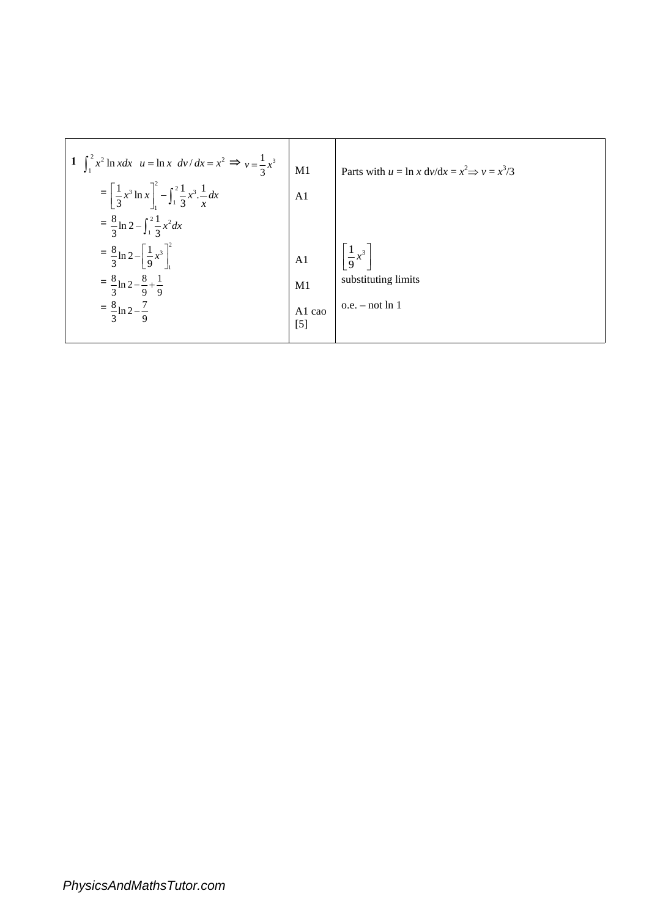|                 | Parts with $u = \ln x \frac{dv}{dx} = x^2 \Rightarrow v = x^3/3$ |
|-----------------|------------------------------------------------------------------|
| A <sub>1</sub>  |                                                                  |
|                 |                                                                  |
| $\overline{A1}$ | $\left[\frac{1}{9}x^3\right]$                                    |
| M1              | substituting limits                                              |
| A1 cao<br>$[5]$ | $o.e. - not ln 1$                                                |
|                 | M1                                                               |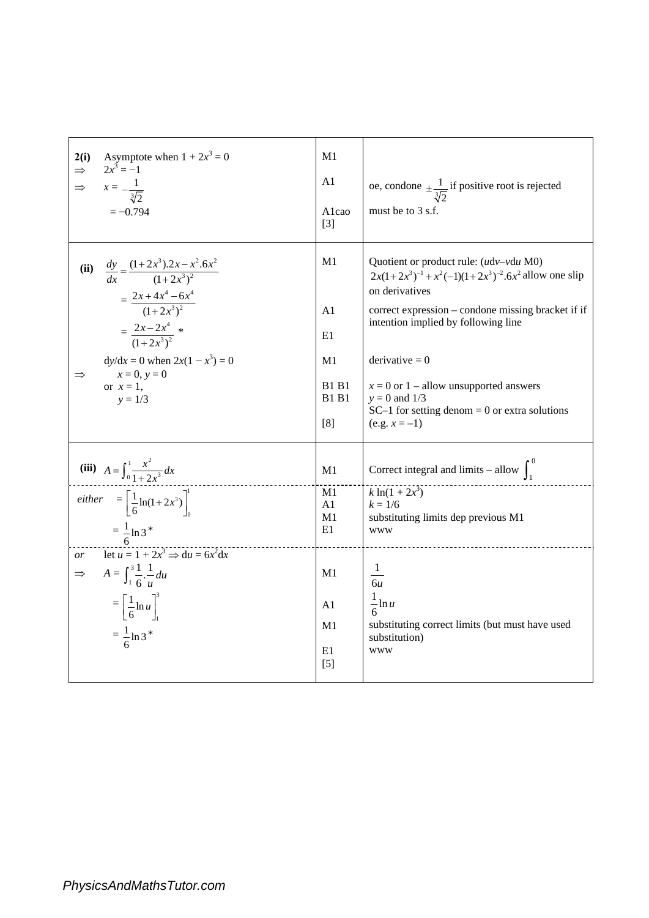| Asymptote when $1 + 2x^3 = 0$<br>2(i)<br>$2x^3 = -1$<br>$\Rightarrow$<br>$x = -\frac{1}{\sqrt[3]{2}}$<br>$\Rightarrow$<br>$=-0.794$                                                                                        | M1<br>A <sub>1</sub><br>Alcao<br>$[3]$                                  | oe, condone $\pm \frac{1}{\sqrt[3]{2}}$ if positive root is rejected<br>must be to $3$ s.f.                                                                                                                                                                                                                                                                                                    |
|----------------------------------------------------------------------------------------------------------------------------------------------------------------------------------------------------------------------------|-------------------------------------------------------------------------|------------------------------------------------------------------------------------------------------------------------------------------------------------------------------------------------------------------------------------------------------------------------------------------------------------------------------------------------------------------------------------------------|
| (ii) $\frac{dy}{dx} = \frac{(1+2x^3).2x - x^2.6x^2}{(1+2x^3)^2}$<br>$=\frac{2x+4x^4-6x^4}{(1+2x^3)^2}$<br>$=\frac{2x-2x^4}{(1+2x^3)^2}$<br>$dy/dx = 0$ when $2x(1 - x^3) = 0$<br>$x = 0, y = 0$<br>or $x=1$ ,<br>$y = 1/3$ | M1<br>A <sub>1</sub><br>E1<br>M1<br><b>B1 B1</b><br><b>B1 B1</b><br>[8] | Quotient or product rule: $(udv-vdu M0)$<br>$2x(1+2x^3)^{-1} + x^2(-1)(1+2x^3)^{-2}$ .6x <sup>2</sup> allow one slip<br>on derivatives<br>correct expression – condone missing bracket if if<br>intention implied by following line<br>$derivative = 0$<br>$x = 0$ or 1 – allow unsupported answers<br>$y = 0$ and $1/3$<br>$SC-1$ for setting denom = 0 or extra solutions<br>$(e.g. x = -1)$ |
| (iii) $A = \int_0^1 \frac{x^2}{1 + 2x^3} dx$                                                                                                                                                                               | M1                                                                      | Correct integral and limits – allow $\int_1^0$                                                                                                                                                                                                                                                                                                                                                 |
| either $= \left[\frac{1}{6}\ln(1+2x^3)\right]_0^1$<br>$=\frac{1}{6}$ ln 3 <sup>*</sup>                                                                                                                                     | M1<br>A <sub>1</sub><br>M1<br>E1                                        | $k \ln(1 + 2x^3)$<br>$k = 1/6$<br>substituting limits dep previous M1<br><b>WWW</b>                                                                                                                                                                                                                                                                                                            |
| let $u = 1 + 2x^3 \Rightarrow du = 6x^2 dx$<br>$\overline{or}$<br>$\Rightarrow A = \int_{1}^{3} \frac{1}{6} \frac{1}{u} du$<br>$=\left[\frac{1}{6}\ln u\right]^3$<br>$=\frac{1}{6} \ln 3^*$                                | M1<br>A <sub>1</sub><br>M1<br>E1<br>$[5]$                               | $\frac{1}{6u}$<br>$\frac{1}{2}$ ln u<br>substituting correct limits (but must have used<br>substitution)<br><b>WWW</b>                                                                                                                                                                                                                                                                         |